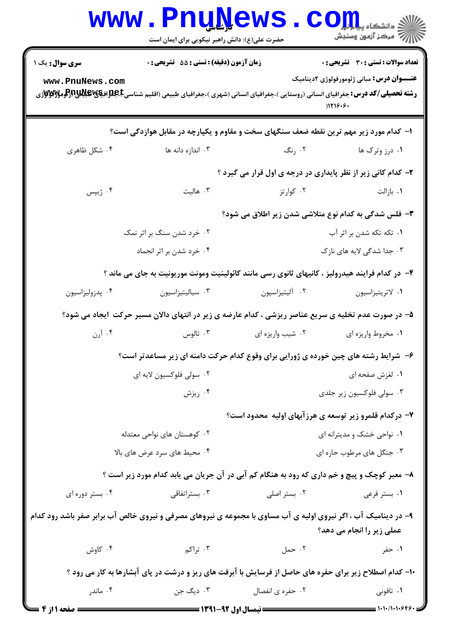|                                                                                                                 | <b>WWW.FUUWEWS.</b><br>حضرت علی(ع): دانش راهبر نیکویی برای ایمان است                                                                          |                                                        | $COJ, L$ انشڪاه پيا بار<br>// مرڪز آزمون وسنڊش                |  |  |
|-----------------------------------------------------------------------------------------------------------------|-----------------------------------------------------------------------------------------------------------------------------------------------|--------------------------------------------------------|---------------------------------------------------------------|--|--|
| <b>سری سوال :</b> یک ۱                                                                                          | زمان آزمون (دقیقه) : تستی : 55 آتشریحی : 0                                                                                                    |                                                        | <b>تعداد سوالات : تستی : 30 ٪ تشریحی : 0</b>                  |  |  |
| www.PnuNews.com                                                                                                 | <b>رشته تحصیلی/کد درس:</b> جغرافیای انسانی (روستایی )،جغرافیای انسانی (شهری )،جغرافیای طبیعی (اقلیم شناسیCبهایاتیالاتیاللاتیاتراتومولاتالاتار |                                                        | <b>عنــــوان درس:</b> مبانی ژئومورفولوژی ۲دینامیک<br>)1119.9. |  |  |
|                                                                                                                 | ۱– کدام مورد زیر مهم ترین نقطه ضعف سنگهای سخت و مقاوم و یکپارچه در مقابل هوازدگی است؟                                                         |                                                        |                                                               |  |  |
| ۰۴ شکل ظاهری                                                                                                    | ۰۳ اندازه دانه ها                                                                                                                             | ۰۲ رنگ                                                 | ۰۱ درز وترک ها                                                |  |  |
|                                                                                                                 | ۲- کدام کانی زیر از نظر پایداری در درجه ی اول قرار می گیرد ؟                                                                                  |                                                        |                                                               |  |  |
| ۰۴ ژیپس                                                                                                         | ۰۳ هالیت                                                                                                                                      | ۰۲ کوارتز                                              | ٠١. بازالت                                                    |  |  |
|                                                                                                                 | ۳- فلس شدگی به کدام نوع متلاشی شدن زیر اطلاق می شود؟                                                                                          |                                                        |                                                               |  |  |
|                                                                                                                 | ۰۲ خرد شدن سنگ بر اثر نمک                                                                                                                     | ۰۱ تکه تکه شدن بر اثر آب                               |                                                               |  |  |
|                                                                                                                 | ۰۴ خرد شدن بر اثر انجماد                                                                                                                      | ۰۳ جدا شدگی لایه های نازک                              |                                                               |  |  |
|                                                                                                                 | ۴– در کدام فرایند هیدرولیز ، کانیهای ثانوی رسی مانند کائولینیت ومونت موریونیت به جای می ماند ؟                                                |                                                        |                                                               |  |  |
| ۰۴ پدزولیزاسیون                                                                                                 | ۰۳ سیالیتیزاسیون                                                                                                                              | ۰۲ آلیتیزاسیون                                         | ٠١ لاتريتيزاسيون                                              |  |  |
| ۵– در صورت عدم تخلیه ی سریع عناصر ریزشی ، کدام عارضه ی زیر در انتهای دالان مسیر حرکت ًایجاد می شود؟             |                                                                                                                                               |                                                        |                                                               |  |  |
| ۰۴ آرن                                                                                                          | ۰۳ تالوس $\cdot$                                                                                                                              | ۰۲ شیب واریزه ای                                       | ۰۱ مخروط واریزه ای                                            |  |  |
|                                                                                                                 | ۶- شرایط رشته های چین خورده ی ژورایی برای وقوع کدام حرکت دامنه ای زیر مساعدتر است؟                                                            |                                                        |                                                               |  |  |
|                                                                                                                 | ۰۲ سولی فلوکسیون لایه ای                                                                                                                      | ۰۱ لغزش صفحه ای                                        |                                                               |  |  |
|                                                                                                                 | ۰۴ ریزش                                                                                                                                       | ۰۳ سولی فلوکسیون زیر جلدی                              |                                                               |  |  |
|                                                                                                                 |                                                                                                                                               | ۷- درکدام قلمرو زیر توسعه ی هرزآبهای اولیه ًمحدود است؟ |                                                               |  |  |
|                                                                                                                 | ۰۲ کوهستان های نواحی معتدله                                                                                                                   |                                                        | ۰۱ نواحی خشک و مدیترانه ای                                    |  |  |
|                                                                                                                 | ۰۴ محیط های سرد عرض های بالا                                                                                                                  |                                                        | ۰۳ جنگل های مرطوب حاره ای                                     |  |  |
|                                                                                                                 | ۸- معبر کوچک و پیچ و خم داری که رود به هنگام کم آبی در آن جریان می یابد کدام مورد زیر است ؟                                                   |                                                        |                                                               |  |  |
| ۰۴ بستر دوره ای                                                                                                 | ۰۳ بستراتفاقی                                                                                                                                 | ۰۲ بستر اصلی                                           | ۰۱ بستر فرعی                                                  |  |  |
| ۹- در دینامیک آب ، اگر نیروی اولیه ی آب مساوی با مجموعه ی نیروهای مصرفی و نیروی خالص آب برابر صفر باشد رود کدام |                                                                                                                                               |                                                        | عملی زیر را انجام می دهد؟                                     |  |  |
| ۰۴ کاوش                                                                                                         | ۰۳ تراکم                                                                                                                                      | ۰۲ حمل                                                 | ۰۱ حفر                                                        |  |  |
| ۱۰- کدام اصطلاح زیر برای حفره های حاصل از فرسایش با آبرفت های ریز و درشت در پای آبشارها به کار می رود ؟         |                                                                                                                                               |                                                        |                                                               |  |  |
| ۰۴ ماندر                                                                                                        | ۰۳ دیگ جن                                                                                                                                     | ۰۲ حفره ی انفصال                                       | ۰۱ تافونی                                                     |  |  |
| ــــــــ صفحه ا از 4                                                                                            |                                                                                                                                               |                                                        | $=$ $\frac{1}{11}$ $\frac{1}{11}$                             |  |  |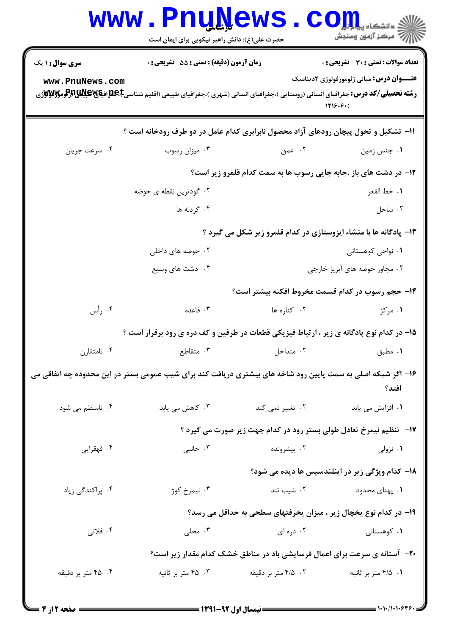|                                                                                                                       | <b>www.PnuNews</b><br>حضرت علی(ع): دانش راهبر نیکویی برای ایمان است                                                                               |                     | $\bullet$ $\mathbf{CO}_{\rm min}^{\rm max}$<br>رآ - مرڪز آزمون وسنڊش |  |  |  |
|-----------------------------------------------------------------------------------------------------------------------|---------------------------------------------------------------------------------------------------------------------------------------------------|---------------------|----------------------------------------------------------------------|--|--|--|
| <b>سری سوال : ۱ یک</b>                                                                                                | زمان آزمون (دقيقه) : تستى : 55 آتشريحى : 0                                                                                                        |                     | <b>تعداد سوالات : تستی : 30 ٪ تشریحی : 0</b>                         |  |  |  |
| www.PnuNews.com                                                                                                       | <b>رشته تحصیلی/کد درس:</b> جغرافیای انسانی (روستایی )،جغرافیای انسانی (شهری )،جغرافیای طبیعی (اقلیم شناسی <b>E،طبلاتیاشی از (عومولالاتولان</b> ژی |                     | <b>عنـــوان درس:</b> مبانی ژئومورفولوژی ۲دینامیک<br>1119.9(          |  |  |  |
| ۱۱- تشکیل و تحول پیچان رودهای آزاد محصول نابرابری کدام عامل در دو طرف رودخانه است ؟                                   |                                                                                                                                                   |                     |                                                                      |  |  |  |
| ۰۴ سرعت جريان                                                                                                         | ۰۳ میزان رسوب                                                                                                                                     | ۰۲ عمق              | ۰۱ جنس زمین                                                          |  |  |  |
|                                                                                                                       | <b>۱۲</b> - در دشت های باز ،جابه جایی رسوب ها به سمت کدام قلمرو زیر است؟                                                                          |                     |                                                                      |  |  |  |
|                                                                                                                       | ۰۲ گودترین نقطه ی حوضه                                                                                                                            |                     | ١. خط القعر                                                          |  |  |  |
|                                                                                                                       | ۰۴ گردنه ها                                                                                                                                       |                     | ۰۳ ساحل                                                              |  |  |  |
|                                                                                                                       | ۱۳- پادگانه ها با منشاء ایزوستازی در کدام قلمرو زیر شکل می گیرد ؟                                                                                 |                     |                                                                      |  |  |  |
|                                                                                                                       | ۰۲ حوضه های داخلی                                                                                                                                 |                     | ۰۱ نواحی کوهستانی                                                    |  |  |  |
|                                                                                                                       | ۰۴ دشت های وسیع                                                                                                                                   |                     | ۰۳ مجاور حوضه های آبریز خارجی                                        |  |  |  |
|                                                                                                                       |                                                                                                                                                   |                     | ۱۴– حجم رسوب در کدام قسمت مخروط افکنه بیشتر است؟                     |  |  |  |
| ۰۴ رأس                                                                                                                | ۰۳ قاعده                                                                                                                                          | ۰۲ کناره ها         | ۰۱ مرکز                                                              |  |  |  |
|                                                                                                                       | ۱۵– در کدام نوع پادگانه ی زیر ، ارتباط فیزیکی قطعات در طرفین و کف دره ی رود برقرار است ؟                                                          |                     |                                                                      |  |  |  |
| ۰۴ نامتقارن                                                                                                           | ۰۲ متداخل متداخل بوده استقاطع در این متقاطع استفاده بود و متابع استفاده بود استفاده بود استفاده بود ا                                             |                     | ۰۱ مطبق                                                              |  |  |  |
| ۱۶– اگر شبکه اصلی به سمت پایین رود شاخه های بیشتری دریافت کند برای شیب عمومی بستر در این محدوده چه اتفاقی می<br>افتد؟ |                                                                                                                                                   |                     |                                                                      |  |  |  |
| ۰۴ نامنظم می شود                                                                                                      | ۰۳ کاهش می یابد                                                                                                                                   | ۰۲ تغییر نمی کند    | ٠١ افزايش مي يابد                                                    |  |  |  |
|                                                                                                                       |                                                                                                                                                   |                     | ۱۷-۔ تنظیم نیمرخ تعادل طولی بستر رود در کدام جهت زیر صورت می گیرد ؟  |  |  |  |
| ۰۴ قهقرایی                                                                                                            | ۰۳ جانبی                                                                                                                                          | ۰۲ پیشرونده         | ۰۱ نزولی                                                             |  |  |  |
|                                                                                                                       |                                                                                                                                                   |                     | 18– کدام ویژگی زیر در اینلندسیس ها دیده می شود؟                      |  |  |  |
| ۰۴ پراکندگی زیاد                                                                                                      | ۰۳ نیمرخ کوژ                                                                                                                                      | ۰۲ شیب تند          | ۰۱ پهنای محدود                                                       |  |  |  |
|                                                                                                                       |                                                                                                                                                   |                     | ۱۹- در کدام نوع یخچال زیر ، میزان یخرفتهای سطحی به حداقل می رسد؟     |  |  |  |
| ۰۴ فلاتی                                                                                                              | ۰۳ محلی $\cdot$                                                                                                                                   | ۰۲ دره ای           | ۰۱ کوهستانی                                                          |  |  |  |
| +۲- آستانه ی سرعت برای اعمال فرسایشی باد در مناطق خشک کدام مقدار زیر است؟                                             |                                                                                                                                                   |                     |                                                                      |  |  |  |
| ۴. ۴۵ متر بر دقیقه                                                                                                    | ۰۳ متر بر ثانیه                                                                                                                                   | ۰۲ ۲٫۵ متر بر دقیقه | ۰۱ ۴/۵ متر بر ثانيه                                                  |  |  |  |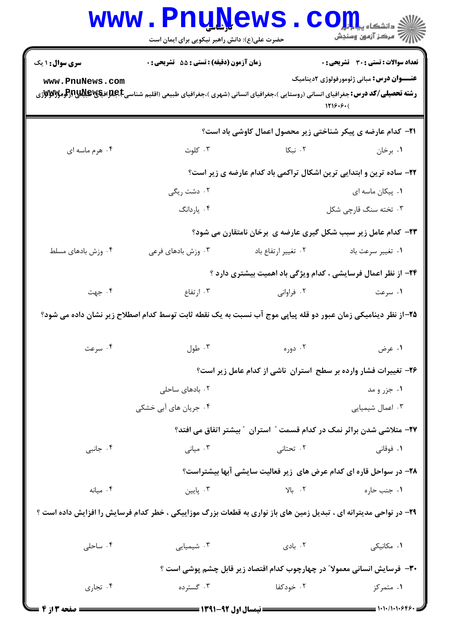|                          | WWW.PnuNews.com<br>حضرت علی(ع): دانش راهبر نیکویی برای ایمان است                                                                                       |                                                                              | /// مرکز آزمون وسنجش                             |  |  |
|--------------------------|--------------------------------------------------------------------------------------------------------------------------------------------------------|------------------------------------------------------------------------------|--------------------------------------------------|--|--|
| <b>سری سوال : ۱ یک</b>   | زمان آزمون (دقیقه) : تستی : 55 آتشریحی : 0                                                                                                             |                                                                              | تعداد سوالات : تستي : 30 - تشريحي : 0            |  |  |
| www.PnuNews.com          |                                                                                                                                                        |                                                                              | <b>عنـــوان درس:</b> مبانی ژئومورفولوژی ۲دینامیک |  |  |
|                          | <b>رشته تحصیلی/کد درس:</b> جغرافیای انسانی (روستایی )،جغرافیای انسانی (شهری )،جغرافیای طبیعی (اقلیم شناسیC <del>)&amp;RR فیایالایا(آو</del> مولالاواژی |                                                                              | 1719.9(                                          |  |  |
|                          |                                                                                                                                                        | <b>۲۱</b> - کدام عارضه ی پیکر شناختی زیر محصول اعمال کاوشی باد است؟          |                                                  |  |  |
| ۰۴ هرم ماسه ای           |                                                                                                                                                        | ۰۱ برخان مسلسل ۲۰ تبکا است. ۲۰ توت                                           |                                                  |  |  |
|                          |                                                                                                                                                        | ۲۲- ساده ترین و ابتدایی ترین اشکال تراکمی باد کدام عارضه ی زیر است؟          |                                                  |  |  |
|                          | ۰۲ دشت ریگی                                                                                                                                            |                                                                              | ۰۱ پیکان ماسه ای                                 |  |  |
|                          | ۰۴ ياردانگ                                                                                                                                             |                                                                              | ۰۳ تخته سنگ قارچی شکل                            |  |  |
|                          |                                                                                                                                                        | ۲۳- کدام عامل زیر سبب شکل گیری عارضه ی برخان نامتقارن می شود؟                |                                                  |  |  |
| ۰۴ وزش بادهای مسلط       | ۰۳ وزش بادهای فرعی                                                                                                                                     | ۰۲ تغییر ارتفاع باد                                                          | ٠١ تغيير سرعت باد                                |  |  |
|                          |                                                                                                                                                        | <b>34</b> - از نظر اعمال فرسایشی ، کدام ویژگی باد اهمیت بیشتری دارد ؟        |                                                  |  |  |
| ۰۴ جهت                   | ۰۳ ارتفاع                                                                                                                                              | ۰۲ فراوانی                                                                   | ۰۱ سرعت                                          |  |  |
|                          | ۲۵–از نظر دینامیکی زمان عبور دو قله پیاپی موج آب نسبت به یک نقطه ثابت توسط کدام اصطلاح زیر نشان داده می شود؟                                           |                                                                              |                                                  |  |  |
| ۰۴ سرعت                  | ۰۳ طول $\cdot$                                                                                                                                         | ۰۲ دوره                                                                      | ۰۱ عرض                                           |  |  |
|                          |                                                                                                                                                        | ۲۶- تغییرات فشار وارده بر سطح استران  ناشی از کدام عامل زیر است؟             |                                                  |  |  |
|                          | ۰۲ بادهای ساحلی                                                                                                                                        |                                                                              | ۰۱ جزر و مد                                      |  |  |
|                          | ۰۴ جریان های آبی خشکی                                                                                                                                  |                                                                              | ۰۳ اعمال شیمیایی                                 |  |  |
|                          |                                                                                                                                                        | <b>۲۷- متلاشی شدن براثر نمک در کدام قسمت ″ استران ″ بیشتر اتفاق می افتد؟</b> |                                                  |  |  |
| ۰۴ جانبی                 | ۰۳ میانی                                                                                                                                               | ۰۲ تحتانی                                                                    | ۰۱ فوقانی                                        |  |  |
|                          |                                                                                                                                                        | ۲۸- در سواحل قاره ای کدام عرض های زیر فعالیت سایشی آبها بیشتراست؟            |                                                  |  |  |
| ۰۴ میانه                 | ۰۳ پایین                                                                                                                                               | $V$ بالا $\cdot$                                                             | ۰۱ جنب حاره                                      |  |  |
|                          | ۲۹- در نواحی مدیترانه ای ، تبدیل زمین های باز نواری به قطعات بزرگ موزاییکی ، خطر کدام فرسایش را افزایش داده است ؟                                      |                                                                              |                                                  |  |  |
| ۰۴ ساحلی                 | ۰۳ شیمیایی                                                                                                                                             | ۰۲ بادی                                                                      | ۰۱ مکانیکی                                       |  |  |
|                          | ۳۰- فرسایش انسانی معمولا ؒ در چهارچوب کدام اقتصاد زیر قابل چشم پوشی است ؟                                                                              |                                                                              |                                                  |  |  |
| ۰۴ تجاري                 | ۰۳ گسترده                                                                                                                                              | ۰۲ خودکفا                                                                    | ۰۱ متمرکز                                        |  |  |
| <b>- - صفحه 3 از 4</b> = |                                                                                                                                                        | ـــــــــــــــــ نیمسال اول ۹۲-۱۳۹۱ ـــــــــــــ                           |                                                  |  |  |